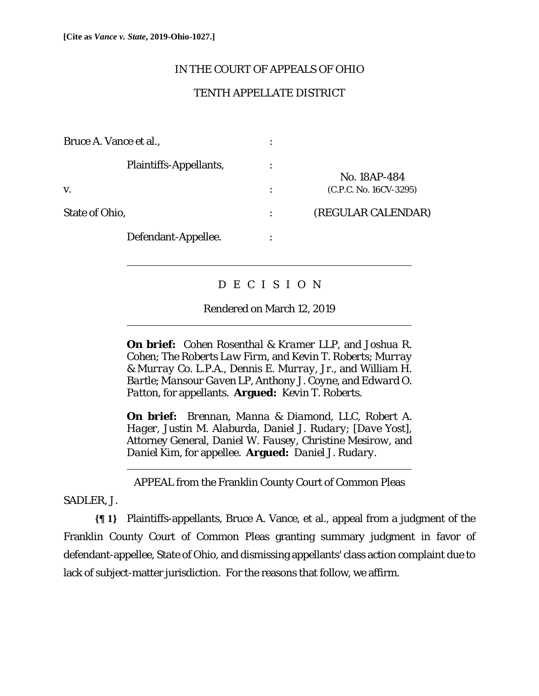$\overline{a}$ 

 $\overline{a}$ 

l

## IN THE COURT OF APPEALS OF OHIO

# TENTH APPELLATE DISTRICT

| Bruce A. Vance et al.,        |                        |
|-------------------------------|------------------------|
| <b>Plaintiffs-Appellants,</b> | No. 18AP-484           |
| V.                            | (C.P.C. No. 16CV-3295) |
| <b>State of Ohio,</b>         | (REGULAR CALENDAR)     |
| Defendant-Appellee.           |                        |

# D E C I S I O N

## Rendered on March 12, 2019

**On brief:** *Cohen Rosenthal & Kramer LLP*, and *Joshua R. Cohen*; *The Roberts Law Firm*, and *Kevin T. Roberts*; *Murray & Murray Co. L.P.A.*, *Dennis E. Murray*, *Jr.*, and *William H. Bartle*; *Mansour Gaven LP*, *Anthony J. Coyne*, and *Edward O. Patton*, for appellants. **Argued:** *Kevin T. Roberts*.

**On brief:** *Brennan*, *Manna & Diamond*, *LLC*, *Robert A. Hager*, *Justin M. Alaburda*, *Daniel J. Rudary*; [*Dave Yost*], Attorney General, *Daniel W. Fausey*, *Christine Mesirow*, and *Daniel Kim*, for appellee. **Argued:** *Daniel J. Rudary*.

APPEAL from the Franklin County Court of Common Pleas

## SADLER, J.

**{¶ 1}** Plaintiffs-appellants, Bruce A. Vance, et al., appeal from a judgment of the Franklin County Court of Common Pleas granting summary judgment in favor of defendant-appellee, State of Ohio, and dismissing appellants' class action complaint due to lack of subject-matter jurisdiction. For the reasons that follow, we affirm.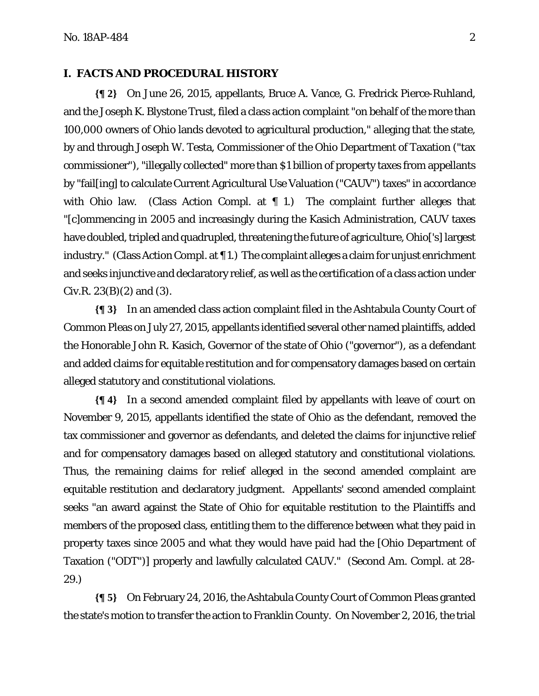#### **I. FACTS AND PROCEDURAL HISTORY**

**{¶ 2}** On June 26, 2015, appellants, Bruce A. Vance, G. Fredrick Pierce-Ruhland, and the Joseph K. Blystone Trust, filed a class action complaint "on behalf of the more than 100,000 owners of Ohio lands devoted to agricultural production," alleging that the state, by and through Joseph W. Testa, Commissioner of the Ohio Department of Taxation ("tax commissioner"), "illegally collected" more than \$1 billion of property taxes from appellants by "fail[ing] to calculate Current Agricultural Use Valuation ("CAUV") taxes" in accordance with Ohio law. (Class Action Compl. at  $\parallel$  1.) The complaint further alleges that "[c]ommencing in 2005 and increasingly during the Kasich Administration, CAUV taxes have doubled, tripled and quadrupled, threatening the future of agriculture, Ohio['s] largest industry." (Class Action Compl. at ¶ 1.) The complaint alleges a claim for unjust enrichment and seeks injunctive and declaratory relief, as well as the certification of a class action under Civ.R.  $23(B)(2)$  and  $(3)$ .

**{¶ 3}** In an amended class action complaint filed in the Ashtabula County Court of Common Pleas on July 27, 2015, appellants identified several other named plaintiffs, added the Honorable John R. Kasich, Governor of the state of Ohio ("governor"), as a defendant and added claims for equitable restitution and for compensatory damages based on certain alleged statutory and constitutional violations.

**{¶ 4}** In a second amended complaint filed by appellants with leave of court on November 9, 2015, appellants identified the state of Ohio as the defendant, removed the tax commissioner and governor as defendants, and deleted the claims for injunctive relief and for compensatory damages based on alleged statutory and constitutional violations. Thus, the remaining claims for relief alleged in the second amended complaint are equitable restitution and declaratory judgment. Appellants' second amended complaint seeks "an award against the State of Ohio for equitable restitution to the Plaintiffs and members of the proposed class, entitling them to the difference between what they paid in property taxes since 2005 and what they would have paid had the [Ohio Department of Taxation ("ODT")] properly and lawfully calculated CAUV." (Second Am. Compl. at 28- 29.)

**{¶ 5}** On February 24, 2016, the Ashtabula County Court of Common Pleas granted the state's motion to transfer the action to Franklin County. On November 2, 2016, the trial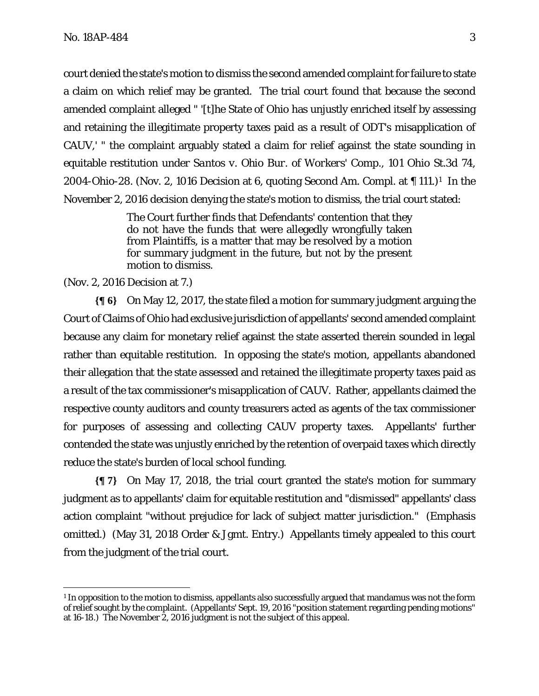court denied the state's motion to dismiss the second amended complaint for failure to state a claim on which relief may be granted. The trial court found that because the second amended complaint alleged " '[t]he State of Ohio has unjustly enriched itself by assessing and retaining the illegitimate property taxes paid as a result of ODT's misapplication of CAUV,' " the complaint arguably stated a claim for relief against the state sounding in equitable restitution under *Santos v. Ohio Bur. of Workers' Comp.*, 101 Ohio St.3d 74, 2004-Ohio-28. (Nov. 2, 1016 Decision at 6, quoting Second Am. Compl. at ¶ 111.)1 In the November 2, 2016 decision denying the state's motion to dismiss, the trial court stated:

> The Court further finds that Defendants' contention that they do not have the funds that were allegedly wrongfully taken from Plaintiffs, is a matter that may be resolved by a motion for summary judgment in the future, but not by the present motion to dismiss.

#### (Nov. 2, 2016 Decision at 7.)

<u>.</u>

**{¶ 6}** On May 12, 2017, the state filed a motion for summary judgment arguing the Court of Claims of Ohio had exclusive jurisdiction of appellants' second amended complaint because any claim for monetary relief against the state asserted therein sounded in legal rather than equitable restitution. In opposing the state's motion, appellants abandoned their allegation that the state assessed and retained the illegitimate property taxes paid as a result of the tax commissioner's misapplication of CAUV. Rather, appellants claimed the respective county auditors and county treasurers acted as agents of the tax commissioner for purposes of assessing and collecting CAUV property taxes. Appellants' further contended the state was unjustly enriched by the retention of overpaid taxes which directly reduce the state's burden of local school funding.

**{¶ 7}** On May 17, 2018, the trial court granted the state's motion for summary judgment as to appellants' claim for equitable restitution and "dismissed" appellants' class action complaint "without prejudice for lack of subject matter jurisdiction." (Emphasis omitted.) (May 31, 2018 Order & Jgmt. Entry.) Appellants timely appealed to this court from the judgment of the trial court.

 $1$  In opposition to the motion to dismiss, appellants also successfully argued that mandamus was not the form of relief sought by the complaint. (Appellants' Sept. 19, 2016 "position statement regarding pending motions" at 16-18.) The November 2, 2016 judgment is not the subject of this appeal.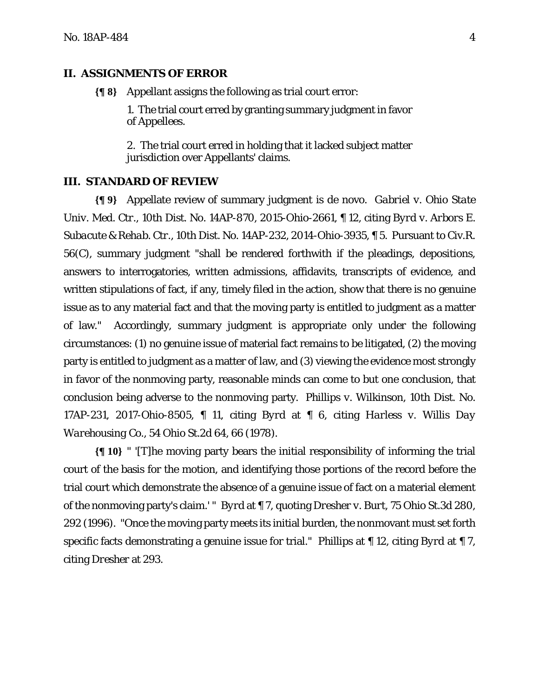#### **II. ASSIGNMENTS OF ERROR**

**{¶ 8}** Appellant assigns the following as trial court error:

1. The trial court erred by granting summary judgment in favor of Appellees.

2. The trial court erred in holding that it lacked subject matter jurisdiction over Appellants' claims.

### **III. STANDARD OF REVIEW**

**{¶ 9}** Appellate review of summary judgment is de novo. *Gabriel v. Ohio State Univ. Med. Ctr.*, 10th Dist. No. 14AP-870, 2015-Ohio-2661, ¶ 12, citing *Byrd v. Arbors E. Subacute & Rehab. Ctr*., 10th Dist. No. 14AP-232, 2014-Ohio-3935, ¶ 5. Pursuant to Civ.R. 56(C), summary judgment "shall be rendered forthwith if the pleadings, depositions, answers to interrogatories, written admissions, affidavits, transcripts of evidence, and written stipulations of fact, if any, timely filed in the action, show that there is no genuine issue as to any material fact and that the moving party is entitled to judgment as a matter of law." Accordingly, summary judgment is appropriate only under the following circumstances: (1) no genuine issue of material fact remains to be litigated, (2) the moving party is entitled to judgment as a matter of law, and (3) viewing the evidence most strongly in favor of the nonmoving party, reasonable minds can come to but one conclusion, that conclusion being adverse to the nonmoving party. *Phillips v. Wilkinson*, 10th Dist. No. 17AP-231, 2017-Ohio-8505, ¶ 11, citing *Byrd* at ¶ 6, citing *Harless v. Willis Day Warehousing Co.*, 54 Ohio St.2d 64, 66 (1978).

**{¶ 10}** " '[T]he moving party bears the initial responsibility of informing the trial court of the basis for the motion, and identifying those portions of the record before the trial court which demonstrate the absence of a genuine issue of fact on a material element of the nonmoving party's claim.' " *Byrd* at ¶ 7, quoting *Dresher v. Burt*, 75 Ohio St.3d 280, 292 (1996). "Once the moving party meets its initial burden, the nonmovant must set forth specific facts demonstrating a genuine issue for trial." *Phillips* at ¶ 12, citing *Byrd* at ¶ 7, citing *Dresher* at 293.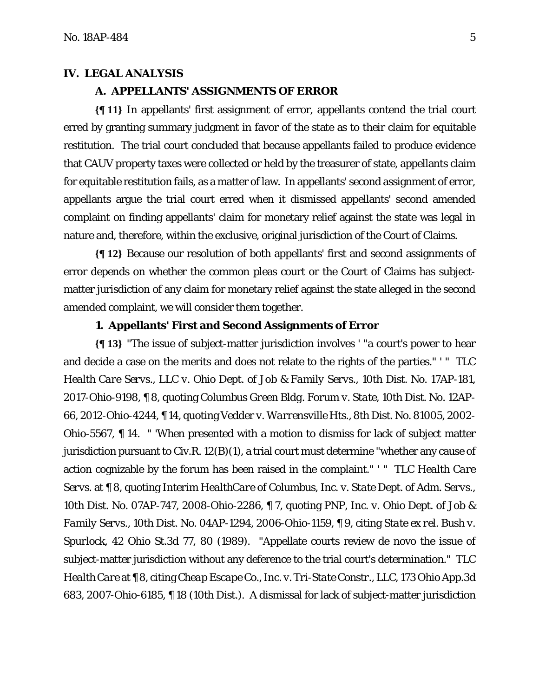#### **IV. LEGAL ANALYSIS**

#### **A. APPELLANTS' ASSIGNMENTS OF ERROR**

**{¶ 11}** In appellants' first assignment of error, appellants contend the trial court erred by granting summary judgment in favor of the state as to their claim for equitable restitution. The trial court concluded that because appellants failed to produce evidence that CAUV property taxes were collected or held by the treasurer of state, appellants claim for equitable restitution fails, as a matter of law. In appellants' second assignment of error, appellants argue the trial court erred when it dismissed appellants' second amended complaint on finding appellants' claim for monetary relief against the state was legal in nature and, therefore, within the exclusive, original jurisdiction of the Court of Claims.

**{¶ 12}** Because our resolution of both appellants' first and second assignments of error depends on whether the common pleas court or the Court of Claims has subjectmatter jurisdiction of any claim for monetary relief against the state alleged in the second amended complaint, we will consider them together.

### **1. Appellants' First and Second Assignments of Error**

**{¶ 13}** "The issue of subject-matter jurisdiction involves ' "a court's power to hear and decide a case on the merits and does not relate to the rights of the parties." ' " *TLC Health Care Servs., LLC v. Ohio Dept. of Job & Family Servs.*, 10th Dist. No. 17AP-181, 2017-Ohio-9198, ¶ 8, quoting *Columbus Green Bldg. Forum v. State*, 10th Dist. No. 12AP-66, 2012-Ohio-4244, ¶ 14, quoting *Vedder v. Warrensville Hts*., 8th Dist. No. 81005, 2002- Ohio-5567, ¶ 14. " 'When presented with a motion to dismiss for lack of subject matter jurisdiction pursuant to Civ.R. 12(B)(1), a trial court must determine "whether any cause of action cognizable by the forum has been raised in the complaint." ' " *TLC Health Care Servs.* at ¶ 8, quoting *Interim HealthCare of Columbus, Inc. v. State Dept. of Adm. Servs.*, 10th Dist. No. 07AP-747, 2008-Ohio-2286, ¶ 7, quoting *PNP, Inc. v. Ohio Dept. of Job & Family Servs.*, 10th Dist. No. 04AP-1294, 2006-Ohio-1159, ¶ 9, citing *State ex rel. Bush v. Spurlock*, 42 Ohio St.3d 77, 80 (1989). "Appellate courts review de novo the issue of subject-matter jurisdiction without any deference to the trial court's determination." *TLC Health Care* at ¶ 8, citing *Cheap Escape Co., Inc. v. Tri-State Constr., LLC*, 173 Ohio App.3d 683, 2007-Ohio-6185, ¶ 18 (10th Dist.). A dismissal for lack of subject-matter jurisdiction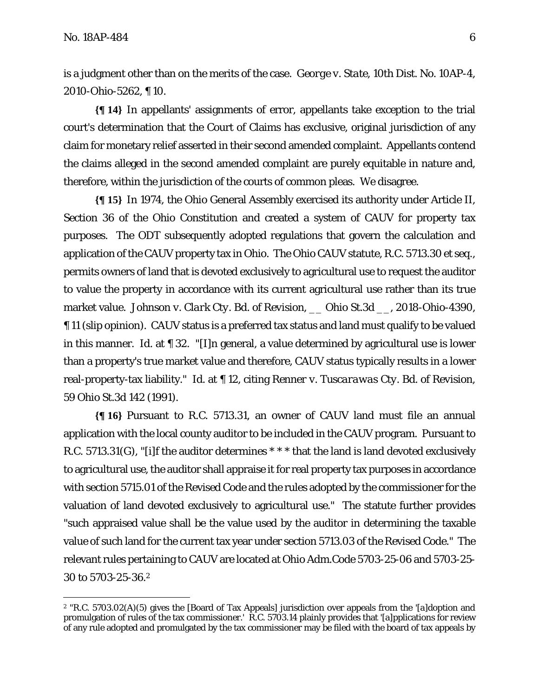<u>.</u>

is a judgment other than on the merits of the case. *George v. State*, 10th Dist. No. 10AP-4, 2010-Ohio-5262, ¶ 10.

**{¶ 14}** In appellants' assignments of error, appellants take exception to the trial court's determination that the Court of Claims has exclusive, original jurisdiction of any claim for monetary relief asserted in their second amended complaint. Appellants contend the claims alleged in the second amended complaint are purely equitable in nature and, therefore, within the jurisdiction of the courts of common pleas. We disagree.

**{¶ 15}** In 1974, the Ohio General Assembly exercised its authority under Article II, Section 36 of the Ohio Constitution and created a system of CAUV for property tax purposes. The ODT subsequently adopted regulations that govern the calculation and application of the CAUV property tax in Ohio. The Ohio CAUV statute, R.C. 5713.30 et seq., permits owners of land that is devoted exclusively to agricultural use to request the auditor to value the property in accordance with its current agricultural use rather than its true market value. *Johnson v. Clark Cty. Bd. of Revision*, \_\_ Ohio St.3d \_\_, 2018-Ohio-4390, ¶ 11 (slip opinion). CAUV status is a preferred tax status and land must qualify to be valued in this manner. *Id.* at ¶ 32. "[I]n general, a value determined by agricultural use is lower than a property's true market value and therefore, CAUV status typically results in a lower real-property-tax liability." *Id.* at ¶ 12, citing *Renner v. Tuscarawas Cty. Bd. of Revision*, 59 Ohio St.3d 142 (1991).

**{¶ 16}** Pursuant to R.C. 5713.31, an owner of CAUV land must file an annual application with the local county auditor to be included in the CAUV program. Pursuant to R.C. 5713.31(G), "[i]f the auditor determines \* \* \* that the land is land devoted exclusively to agricultural use, the auditor shall appraise it for real property tax purposes in accordance with section 5715.01 of the Revised Code and the rules adopted by the commissioner for the valuation of land devoted exclusively to agricultural use." The statute further provides "such appraised value shall be the value used by the auditor in determining the taxable value of such land for the current tax year under section 5713.03 of the Revised Code." The relevant rules pertaining to CAUV are located at Ohio Adm.Code 5703-25-06 and 5703-25- 30 to 5703-25-36.2

<sup>2 &</sup>quot;R.C. 5703.02(A)(5) gives the [Board of Tax Appeals] jurisdiction over appeals from the '[a]doption and promulgation of rules of the tax commissioner.' R.C. 5703.14 plainly provides that '[a]pplications for review of any rule adopted and promulgated by the tax commissioner may be filed with the board of tax appeals by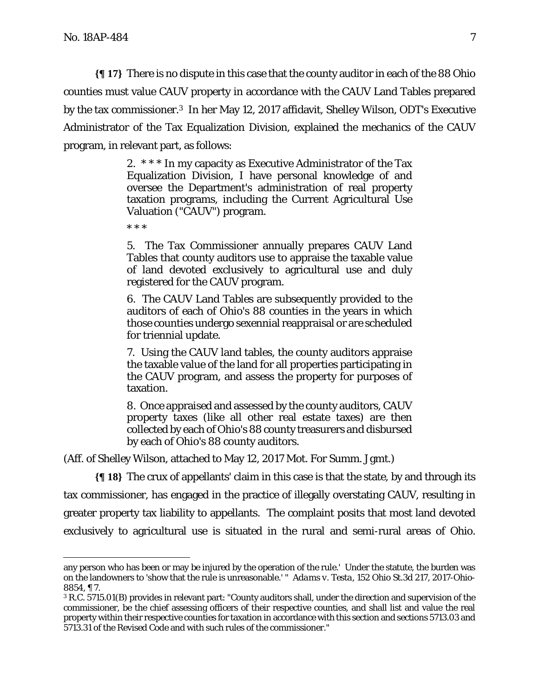<u>.</u>

**{¶ 17}** There is no dispute in this case that the county auditor in each of the 88 Ohio counties must value CAUV property in accordance with the CAUV Land Tables prepared by the tax commissioner.3 In her May 12, 2017 affidavit, Shelley Wilson, ODT's Executive Administrator of the Tax Equalization Division, explained the mechanics of the CAUV program, in relevant part, as follows:

> 2. \* \* \* In my capacity as Executive Administrator of the Tax Equalization Division, I have personal knowledge of and oversee the Department's administration of real property taxation programs, including the Current Agricultural Use Valuation ("CAUV") program.

\* \* \*

5. The Tax Commissioner annually prepares CAUV Land Tables that county auditors use to appraise the taxable value of land devoted exclusively to agricultural use and duly registered for the CAUV program.

6. The CAUV Land Tables are subsequently provided to the auditors of each of Ohio's 88 counties in the years in which those counties undergo sexennial reappraisal or are scheduled for triennial update.

7. Using the CAUV land tables, the county auditors appraise the taxable value of the land for all properties participating in the CAUV program, and assess the property for purposes of taxation.

8. Once appraised and assessed by the county auditors, CAUV property taxes (like all other real estate taxes) are then collected by each of Ohio's 88 county treasurers and disbursed by each of Ohio's 88 county auditors.

(Aff. of Shelley Wilson, attached to May 12, 2017 Mot. For Summ. Jgmt.)

**{¶ 18}** The crux of appellants' claim in this case is that the state, by and through its tax commissioner, has engaged in the practice of illegally overstating CAUV, resulting in greater property tax liability to appellants. The complaint posits that most land devoted exclusively to agricultural use is situated in the rural and semi-rural areas of Ohio.

any person who has been or may be injured by the operation of the rule.' Under the statute, the burden was on the landowners to 'show that the rule is unreasonable.' " *Adams v. Testa*, 152 Ohio St.3d 217, 2017-Ohio-8854, ¶ 7.

<sup>3</sup> R.C. 5715.01(B) provides in relevant part: "County auditors shall, under the direction and supervision of the commissioner, be the chief assessing officers of their respective counties, and shall list and value the real property within their respective counties for taxation in accordance with this section and sections 5713.03 and 5713.31 of the Revised Code and with such rules of the commissioner."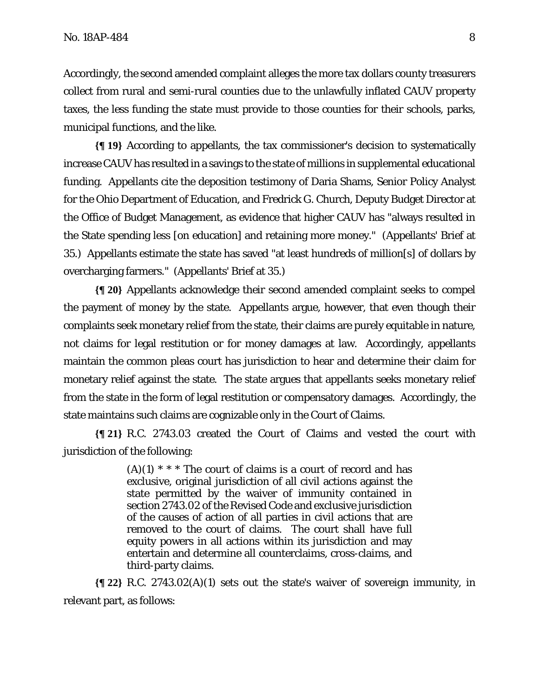Accordingly, the second amended complaint alleges the more tax dollars county treasurers collect from rural and semi-rural counties due to the unlawfully inflated CAUV property taxes, the less funding the state must provide to those counties for their schools, parks, municipal functions, and the like.

**{¶ 19}** According to appellants, the tax commissioner's decision to systematically increase CAUV has resulted in a savings to the state of millions in supplemental educational funding. Appellants cite the deposition testimony of Daria Shams, Senior Policy Analyst for the Ohio Department of Education, and Fredrick G. Church, Deputy Budget Director at the Office of Budget Management, as evidence that higher CAUV has "always resulted in the State spending less [on education] and retaining more money." (Appellants' Brief at 35.) Appellants estimate the state has saved "at least hundreds of million[s] of dollars by overcharging farmers." (Appellants' Brief at 35.)

**{¶ 20}** Appellants acknowledge their second amended complaint seeks to compel the payment of money by the state. Appellants argue, however, that even though their complaints seek monetary relief from the state, their claims are purely equitable in nature, not claims for legal restitution or for money damages at law. Accordingly, appellants maintain the common pleas court has jurisdiction to hear and determine their claim for monetary relief against the state. The state argues that appellants seeks monetary relief from the state in the form of legal restitution or compensatory damages. Accordingly, the state maintains such claims are cognizable only in the Court of Claims.

**{¶ 21}** R.C. 2743.03 created the Court of Claims and vested the court with jurisdiction of the following:

> $(A)(1)$  \* \* \* The court of claims is a court of record and has exclusive, original jurisdiction of all civil actions against the state permitted by the waiver of immunity contained in section 2743.02 of the Revised Code and exclusive jurisdiction of the causes of action of all parties in civil actions that are removed to the court of claims. The court shall have full equity powers in all actions within its jurisdiction and may entertain and determine all counterclaims, cross-claims, and third-party claims.

**{¶ 22}** R.C. 2743.02(A)(1) sets out the state's waiver of sovereign immunity, in relevant part, as follows: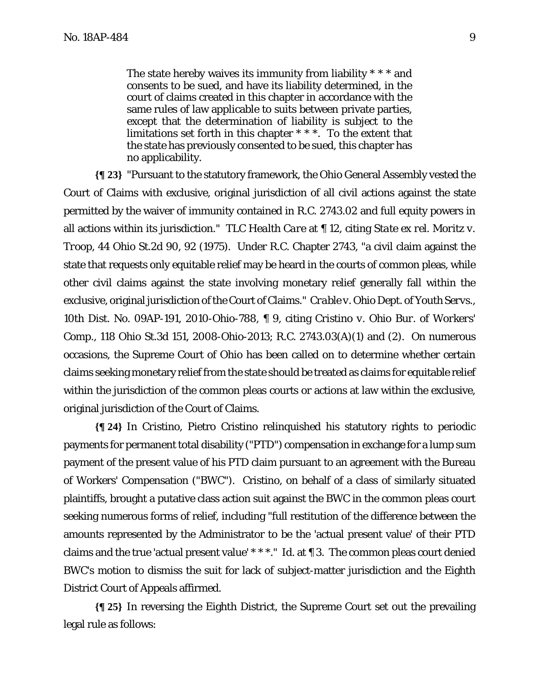The state hereby waives its immunity from liability \* \* \* and consents to be sued, and have its liability determined, in the court of claims created in this chapter in accordance with the same rules of law applicable to suits between private parties, except that the determination of liability is subject to the limitations set forth in this chapter \* \* \*. To the extent that the state has previously consented to be sued, this chapter has no applicability.

**{¶ 23}** "Pursuant to the statutory framework, the Ohio General Assembly vested the Court of Claims with exclusive, original jurisdiction of all civil actions against the state permitted by the waiver of immunity contained in R.C. 2743.02 and full equity powers in all actions within its jurisdiction." *TLC Health Care* at ¶ 12, citing *State ex rel. Moritz v. Troop*, 44 Ohio St.2d 90, 92 (1975). Under R.C. Chapter 2743, "a civil claim against the state that requests only equitable relief may be heard in the courts of common pleas, while other civil claims against the state involving monetary relief generally fall within the exclusive, original jurisdiction of the Court of Claims." *Crable v. Ohio Dept. of Youth Servs*., 10th Dist. No. 09AP-191, 2010-Ohio-788, ¶ 9, citing *Cristino v. Ohio Bur. of Workers' Comp*., 118 Ohio St.3d 151, 2008-Ohio-2013; R.C. 2743.03(A)(1) and (2). On numerous occasions, the Supreme Court of Ohio has been called on to determine whether certain claims seeking monetary relief from the state should be treated as claims for equitable relief within the jurisdiction of the common pleas courts or actions at law within the exclusive, original jurisdiction of the Court of Claims.

**{¶ 24}** In *Cristino*, Pietro Cristino relinquished his statutory rights to periodic payments for permanent total disability ("PTD") compensation in exchange for a lump sum payment of the present value of his PTD claim pursuant to an agreement with the Bureau of Workers' Compensation ("BWC"). Cristino, on behalf of a class of similarly situated plaintiffs, brought a putative class action suit against the BWC in the common pleas court seeking numerous forms of relief, including "full restitution of the difference between the amounts represented by the Administrator to be the 'actual present value' of their PTD claims and the true 'actual present value' \* \* \*." *Id*. at ¶ 3. The common pleas court denied BWC's motion to dismiss the suit for lack of subject-matter jurisdiction and the Eighth District Court of Appeals affirmed.

**{¶ 25}** In reversing the Eighth District, the Supreme Court set out the prevailing legal rule as follows: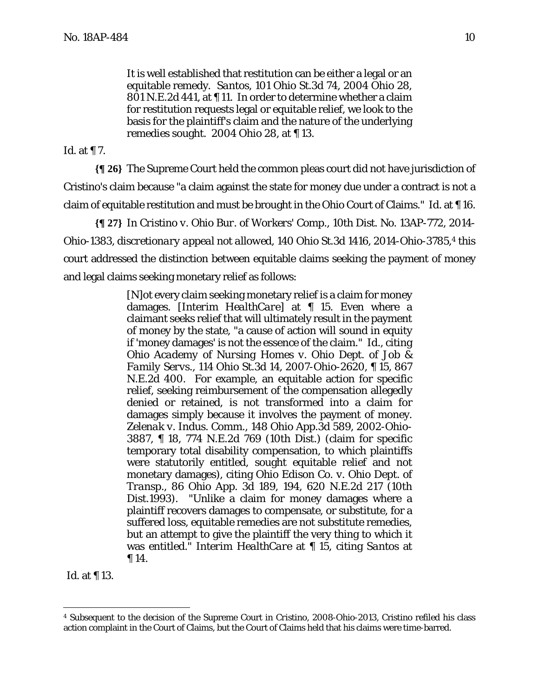It is well established that restitution can be either a legal or an equitable remedy. *Santos*, 101 Ohio St.3d 74, 2004 Ohio 28, 801 N.E.2d 441, at ¶ 11. In order to determine whether a claim for restitution requests legal or equitable relief, we look to the basis for the plaintiff's claim and the nature of the underlying remedies sought. 2004 Ohio 28, at ¶ 13.

*Id*. at ¶ 7.

**{¶ 26}** The Supreme Court held the common pleas court did not have jurisdiction of Cristino's claim because "a claim against the state for money due under a contract is not a claim of equitable restitution and must be brought in the Ohio Court of Claims." *Id.* at ¶ 16.

**{¶ 27}** In *Cristino v. Ohio Bur. of Workers' Comp.*, 10th Dist. No. 13AP-772, 2014- Ohio-1383, *discretionary appeal not allowed*, 140 Ohio St.3d 1416, 2014-Ohio-3785,4 this court addressed the distinction between equitable claims seeking the payment of money and legal claims seeking monetary relief as follows:

> [N]ot every claim seeking monetary relief is a claim for money damages. [*Interim HealthCare*] at ¶ 15. Even where a claimant seeks relief that will ultimately result in the payment of money by the state, "a cause of action will sound in equity if 'money damages' is not the essence of the claim." *Id*., citing *Ohio Academy of Nursing Homes v. Ohio Dept. of Job & Family Servs*., 114 Ohio St.3d 14, 2007-Ohio-2620, ¶ 15, 867 N.E.2d 400. For example, an equitable action for specific relief, seeking reimbursement of the compensation allegedly denied or retained, is not transformed into a claim for damages simply because it involves the payment of money. *Zelenak v. Indus. Comm.*, 148 Ohio App.3d 589, 2002-Ohio-3887, ¶ 18, 774 N.E.2d 769 (10th Dist.) (claim for specific temporary total disability compensation, to which plaintiffs were statutorily entitled, sought equitable relief and not monetary damages), citing *Ohio Edison Co. v. Ohio Dept. of Transp*., 86 Ohio App. 3d 189, 194, 620 N.E.2d 217 (10th Dist.1993). "Unlike a claim for money damages where a plaintiff recovers damages to compensate, or substitute, for a suffered loss, equitable remedies are not substitute remedies, but an attempt to give the plaintiff the very thing to which it was entitled." *Interim HealthCare* at ¶ 15, citing *Santos* at ¶ 14.

Id. at ¶ 13.

 $\overline{a}$ 

<sup>4</sup> Subsequent to the decision of the Supreme Court in *Cristino*, 2008-Ohio-2013, Cristino refiled his class action complaint in the Court of Claims, but the Court of Claims held that his claims were time-barred.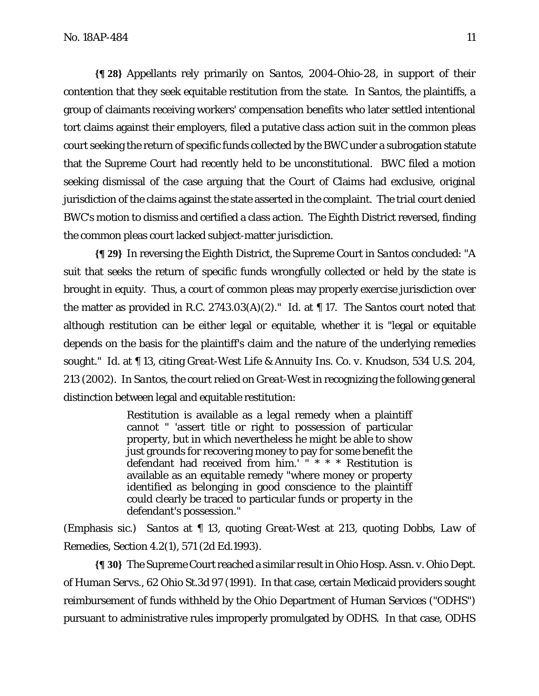**{¶ 28}** Appellants rely primarily on *Santos*, 2004-Ohio-28, in support of their contention that they seek equitable restitution from the state. In *Santos*, the plaintiffs, a group of claimants receiving workers' compensation benefits who later settled intentional tort claims against their employers, filed a putative class action suit in the common pleas court seeking the return of specific funds collected by the BWC under a subrogation statute that the Supreme Court had recently held to be unconstitutional. BWC filed a motion seeking dismissal of the case arguing that the Court of Claims had exclusive, original jurisdiction of the claims against the state asserted in the complaint. The trial court denied BWC's motion to dismiss and certified a class action. The Eighth District reversed, finding the common pleas court lacked subject-matter jurisdiction.

**{¶ 29}** In reversing the Eighth District, the Supreme Court in *Santos* concluded: "A suit that seeks the return of specific funds wrongfully collected or held by the state is brought in equity. Thus, a court of common pleas may properly exercise jurisdiction over the matter as provided in R.C. 2743.03(A)(2)." *Id.* at ¶ 17. The *Santos* court noted that although restitution can be either legal or equitable, whether it is "legal or equitable depends on the basis for the plaintiff's claim and the nature of the underlying remedies sought." *Id.* at ¶ 13, citing *Great-West Life & Annuity Ins. Co. v. Knudson*, 534 U.S. 204, 213 (2002). In *Santos*, the court relied on *Great-West* in recognizing the following general distinction between legal and equitable restitution:

> Restitution is available as a *legal* remedy when a plaintiff cannot " 'assert title or right to possession of particular property, but in which nevertheless he might be able to show just grounds for recovering money to pay for some benefit the defendant had received from  $\lim_{n \to \infty}$  \* \* \* Restitution is available as an *equitable* remedy "where money or property identified as belonging in good conscience to the plaintiff could clearly be traced to particular funds or property in the defendant's possession."

(Emphasis sic.) *Santos* at ¶ 13, quoting *Great-West* at 213, quoting Dobbs, *Law of Remedies*, Section 4.2(1), 571 (2d Ed.1993).

**{¶ 30}** The Supreme Court reached a similar result in *Ohio Hosp. Assn. v. Ohio Dept. of Human Servs.*, 62 Ohio St.3d 97 (1991). In that case, certain Medicaid providers sought reimbursement of funds withheld by the Ohio Department of Human Services ("ODHS") pursuant to administrative rules improperly promulgated by ODHS. In that case, ODHS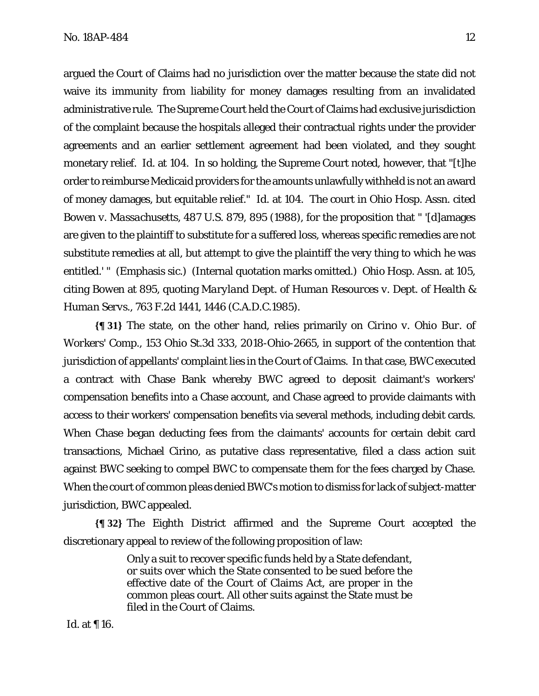argued the Court of Claims had no jurisdiction over the matter because the state did not waive its immunity from liability for money damages resulting from an invalidated administrative rule. The Supreme Court held the Court of Claims had exclusive jurisdiction of the complaint because the hospitals alleged their contractual rights under the provider agreements and an earlier settlement agreement had been violated, and they sought monetary relief. *Id.* at 104. In so holding, the Supreme Court noted, however, that "[t]he order to reimburse Medicaid providers for the amounts unlawfully withheld is not an award of money damages, but equitable relief." *Id*. at 104. The court in *Ohio Hosp. Assn.* cited *Bowen v. Massachusetts,* 487 U.S. 879, 895 (1988), for the proposition that " '[d]amages are given to the plaintiff to *substitute* for a suffered loss, whereas specific remedies are not substitute remedies at all, but attempt to give the plaintiff the very thing to which he was entitled.' " (Emphasis sic.) (Internal quotation marks omitted.) *Ohio Hosp. Assn.* at 105, citing *Bowen* at 895, quoting *Maryland Dept. of Human Resources v. Dept. of Health & Human Servs.*, 763 F.2d 1441, 1446 (C.A.D.C.1985).

**{¶ 31}** The state, on the other hand, relies primarily on *Cirino v. Ohio Bur. of Workers' Comp*., 153 Ohio St.3d 333, 2018-Ohio-2665, in support of the contention that jurisdiction of appellants' complaint lies in the Court of Claims. In that case, BWC executed a contract with Chase Bank whereby BWC agreed to deposit claimant's workers' compensation benefits into a Chase account, and Chase agreed to provide claimants with access to their workers' compensation benefits via several methods, including debit cards. When Chase began deducting fees from the claimants' accounts for certain debit card transactions, Michael Cirino, as putative class representative, filed a class action suit against BWC seeking to compel BWC to compensate them for the fees charged by Chase. When the court of common pleas denied BWC's motion to dismiss for lack of subject-matter jurisdiction, BWC appealed.

**{¶ 32}** The Eighth District affirmed and the Supreme Court accepted the discretionary appeal to review of the following proposition of law:

> Only a suit to recover specific funds held by a State defendant, or suits over which the State consented to be sued before the effective date of the Court of Claims Act, are proper in the common pleas court. All other suits against the State must be filed in the Court of Claims.

*Id*. at ¶ 16.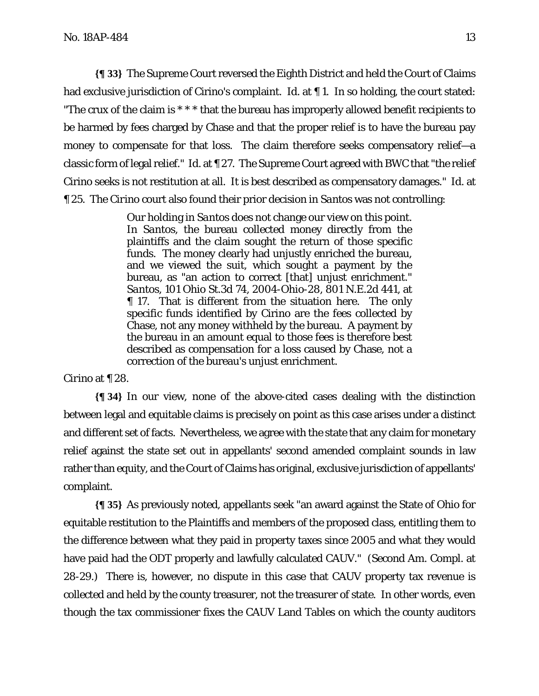**{¶ 33}** The Supreme Court reversed the Eighth District and held the Court of Claims had exclusive jurisdiction of Cirino's complaint. *Id.* at 1. In so holding, the court stated: "The crux of the claim is \* \* \* that the bureau has improperly allowed benefit recipients to be harmed by fees charged by Chase and that the proper relief is to have the bureau pay money to compensate for that loss. The claim therefore seeks compensatory relief—a classic form of legal relief." *Id.* at ¶ 27. The Supreme Court agreed with BWC that "the relief Cirino seeks is not restitution at all. It is best described as compensatory damages." *Id.* at ¶ 25. The *Cirino* court also found their prior decision in *Santos* was not controlling:

> Our holding in *Santos* does not change our view on this point. In *Santos*, the bureau collected money directly from the plaintiffs and the claim sought the return of those specific funds. The money clearly had unjustly enriched the bureau, and we viewed the suit, which sought a payment by the bureau, as "an action to correct [that] unjust enrichment." *Santos*, 101 Ohio St.3d 74, 2004-Ohio-28, 801 N.E.2d 441, at ¶ 17. That is different from the situation here. The only specific funds identified by Cirino are the fees collected by Chase, not any money withheld by the bureau. A payment by the bureau in an amount equal to those fees is therefore best described as compensation for a loss caused by Chase, not a correction of the bureau's unjust enrichment.

#### *Cirino* at ¶ 28.

**{¶ 34}** In our view, none of the above-cited cases dealing with the distinction between legal and equitable claims is precisely on point as this case arises under a distinct and different set of facts. Nevertheless, we agree with the state that any claim for monetary relief against the state set out in appellants' second amended complaint sounds in law rather than equity, and the Court of Claims has original, exclusive jurisdiction of appellants' complaint.

**{¶ 35}** As previously noted, appellants seek "an award against the State of Ohio for equitable restitution to the Plaintiffs and members of the proposed class, entitling them to the difference between what they paid in property taxes since 2005 and what they would have paid had the ODT properly and lawfully calculated CAUV." (Second Am. Compl. at 28-29.) There is, however, no dispute in this case that CAUV property tax revenue is collected and held by the county treasurer, not the treasurer of state. In other words, even though the tax commissioner fixes the CAUV Land Tables on which the county auditors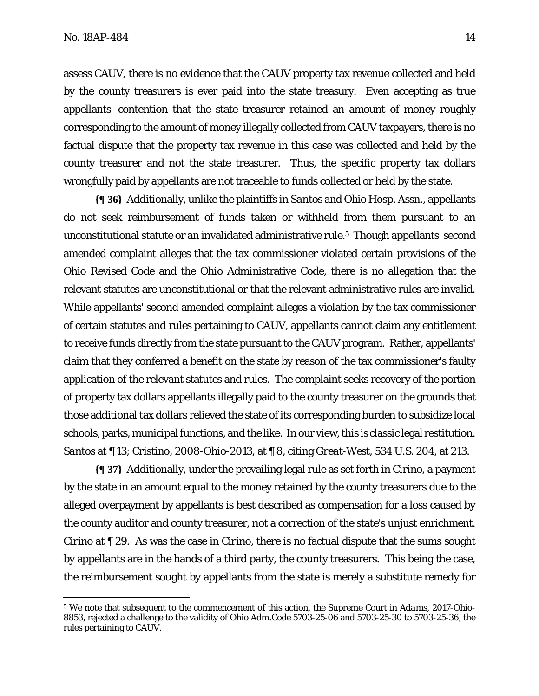<u>.</u>

assess CAUV, there is no evidence that the CAUV property tax revenue collected and held by the county treasurers is ever paid into the state treasury. Even accepting as true appellants' contention that the state treasurer retained an amount of money roughly corresponding to the amount of money illegally collected from CAUV taxpayers, there is no factual dispute that the property tax revenue in this case was collected and held by the county treasurer and not the state treasurer. Thus, the specific property tax dollars wrongfully paid by appellants are not traceable to funds collected or held by the state.

**{¶ 36}** Additionally, unlike the plaintiffs in *Santos* and *Ohio Hosp. Assn.*, appellants do not seek reimbursement of funds taken or withheld from them pursuant to an unconstitutional statute or an invalidated administrative rule.5 Though appellants' second amended complaint alleges that the tax commissioner violated certain provisions of the Ohio Revised Code and the Ohio Administrative Code, there is no allegation that the relevant statutes are unconstitutional or that the relevant administrative rules are invalid. While appellants' second amended complaint alleges a violation by the tax commissioner of certain statutes and rules pertaining to CAUV, appellants cannot claim any entitlement to receive funds directly from the state pursuant to the CAUV program. Rather, appellants' claim that they conferred a benefit on the state by reason of the tax commissioner's faulty application of the relevant statutes and rules. The complaint seeks recovery of the portion of property tax dollars appellants illegally paid to the county treasurer on the grounds that those additional tax dollars relieved the state of its corresponding burden to subsidize local schools, parks, municipal functions, and the like. In our view, this is classic legal restitution. *Santos* at ¶ 13; *Cristino*, 2008-Ohio-2013, at ¶ 8, citing *Great-West*, 534 U.S. 204, at 213.

**{¶ 37}** Additionally, under the prevailing legal rule as set forth in *Cirino*, a payment by the state in an amount equal to the money retained by the county treasurers due to the alleged overpayment by appellants is best described as compensation for a loss caused by the county auditor and county treasurer, not a correction of the state's unjust enrichment. *Cirino* at ¶ 29. As was the case in *Cirino*, there is no factual dispute that the sums sought by appellants are in the hands of a third party, the county treasurers. This being the case, the reimbursement sought by appellants from the state is merely a substitute remedy for

<sup>5</sup> We note that subsequent to the commencement of this action, the Supreme Court in *Adams*, 2017-Ohio-8853, rejected a challenge to the validity of Ohio Adm.Code 5703-25-06 and 5703-25-30 to 5703-25-36, the rules pertaining to CAUV*.*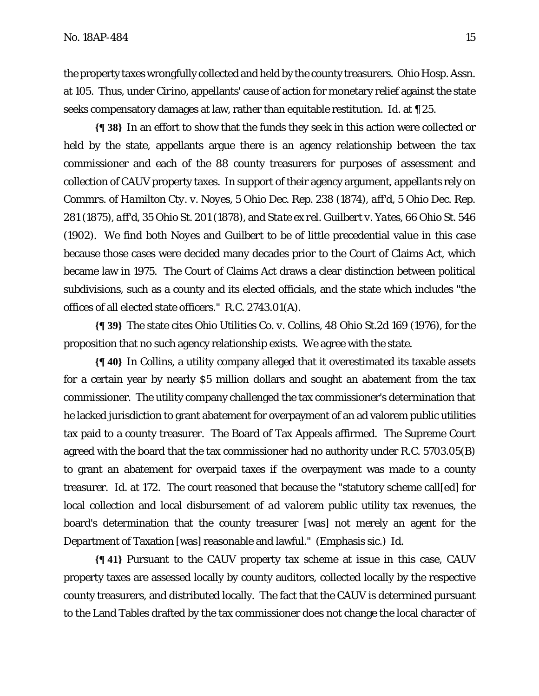the property taxes wrongfully collected and held by the county treasurers. *Ohio Hosp. Assn.* at 105. Thus, under *Cirino*, appellants' cause of action for monetary relief against the state seeks compensatory damages at law, rather than equitable restitution. *Id.* at ¶ 25.

**{¶ 38}** In an effort to show that the funds they seek in this action were collected or held by the state, appellants argue there is an agency relationship between the tax commissioner and each of the 88 county treasurers for purposes of assessment and collection of CAUV property taxes. In support of their agency argument, appellants rely on *Commrs. of Hamilton Cty. v. Noyes*, 5 Ohio Dec. Rep. 238 (1874), *aff'd*, 5 Ohio Dec. Rep. 281 (1875), *aff'd*, 35 Ohio St. 201 (1878), and *State ex rel. Guilbert v. Yates*, 66 Ohio St. 546 (1902). We find both *Noyes* and *Guilbert* to be of little precedential value in this case because those cases were decided many decades prior to the Court of Claims Act, which became law in 1975. The Court of Claims Act draws a clear distinction between political subdivisions, such as a county and its elected officials, and the state which includes "the offices of all elected state officers." R.C. 2743.01(A).

**{¶ 39}** The state cites *Ohio Utilities Co. v. Collins*, 48 Ohio St.2d 169 (1976), for the proposition that no such agency relationship exists. We agree with the state.

**{¶ 40}** In *Collins*, a utility company alleged that it overestimated its taxable assets for a certain year by nearly \$5 million dollars and sought an abatement from the tax commissioner. The utility company challenged the tax commissioner's determination that he lacked jurisdiction to grant abatement for overpayment of an ad valorem public utilities tax paid to a county treasurer. The Board of Tax Appeals affirmed. The Supreme Court agreed with the board that the tax commissioner had no authority under R.C. 5703.05(B) to grant an abatement for overpaid taxes if the overpayment was made to a county treasurer. *Id.* at 172. The court reasoned that because the "statutory scheme call[ed] for local collection and local disbursement of *ad valorem* public utility tax revenues, the board's determination that the county treasurer [was] not merely an agent for the Department of Taxation [was] reasonable and lawful." (Emphasis sic.) *Id*.

**{¶ 41}** Pursuant to the CAUV property tax scheme at issue in this case, CAUV property taxes are assessed locally by county auditors, collected locally by the respective county treasurers, and distributed locally. The fact that the CAUV is determined pursuant to the Land Tables drafted by the tax commissioner does not change the local character of